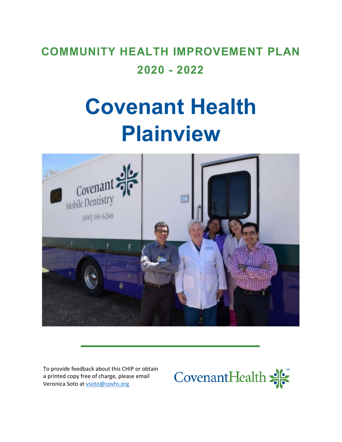# **COMMUNITY HEALTH IMPROVEMENT PLAN 2020 - 2022**

# **Covenant Health Plainview**



To provide feedback about this CHIP or obtain a printed copy free of charge, please email Veronica Soto a[t vsoto@covhs.org](mailto:vsoto@covhs.org)

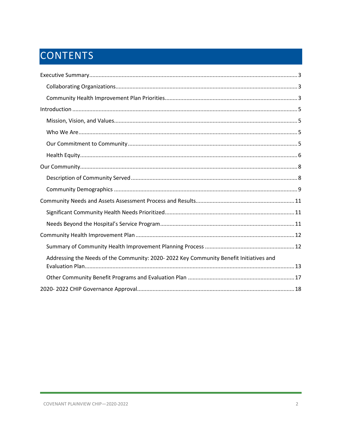# CONTENTS

| Addressing the Needs of the Community: 2020-2022 Key Community Benefit Initiatives and |  |
|----------------------------------------------------------------------------------------|--|
|                                                                                        |  |
|                                                                                        |  |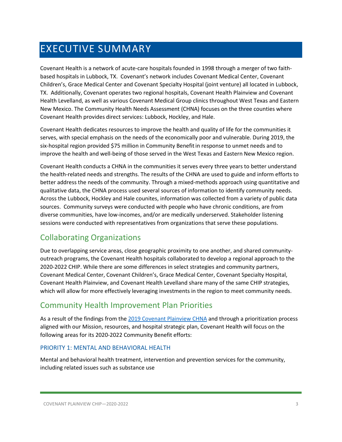# <span id="page-2-0"></span>EXECUTIVE SUMMARY

Covenant Health is a network of acute-care hospitals founded in 1998 through a merger of two faithbased hospitals in Lubbock, TX. Covenant's network includes Covenant Medical Center, Covenant Children's, Grace Medical Center and Covenant Specialty Hospital (joint venture) all located in Lubbock, TX. Additionally, Covenant operates two regional hospitals, Covenant Health Plainview and Covenant Health Levelland, as well as various Covenant Medical Group clinics throughout West Texas and Eastern New Mexico. The Community Health Needs Assessment (CHNA) focuses on the three counties where Covenant Health provides direct services: Lubbock, Hockley, and Hale.

Covenant Health dedicates resources to improve the health and quality of life for the communities it serves, with special emphasis on the needs of the economically poor and vulnerable. During 2019, the six-hospital region provided \$75 million in Community Benefit in response to unmet needs and to improve the health and well-being of those served in the West Texas and Eastern New Mexico region.

Covenant Health conducts a CHNA in the communities it serves every three years to better understand the health-related needs and strengths. The results of the CHNA are used to guide and inform efforts to better address the needs of the community. Through a mixed-methods approach using quantitative and qualitative data, the CHNA process used several sources of information to identify community needs. Across the Lubbock, Hockley and Hale counites, information was collected from a variety of public data sources. Community surveys were conducted with people who have chronic conditions, are from diverse communities, have low-incomes, and/or are medically underserved. Stakeholder listening sessions were conducted with representatives from organizations that serve these populations.

### <span id="page-2-1"></span>Collaborating Organizations

Due to overlapping service areas, close geographic proximity to one another, and shared communityoutreach programs, the Covenant Health hospitals collaborated to develop a regional approach to the 2020-2022 CHIP. While there are some differences in select strategies and community partners, Covenant Medical Center, Covenant Children's, Grace Medical Center, Covenant Specialty Hospital, Covenant Health Plainview, and Covenant Health Levelland share many of the same CHIP strategies, which will allow for more effectively leveraging investments in the region to meet community needs.

### <span id="page-2-2"></span>Community Health Improvement Plan Priorities

As a result of the findings from th[e 2019 Covenant Plainview](https://www.providence.org/-/media/Project/psjh/providence/socal/Files/about/community-benefit/reports/2019chna-covenantplainview.pdf?la=en&hash=24C8162FDE3F8A92096AEED0988A21ED) CHNA and through a prioritization process aligned with our Mission, resources, and hospital strategic plan, Covenant Health will focus on the following areas for its 2020-2022 Community Benefit efforts:

### PRIORITY 1: MENTAL AND BEHAVIORAL HEALTH

Mental and behavioral health treatment, intervention and prevention services for the community, including related issues such as substance use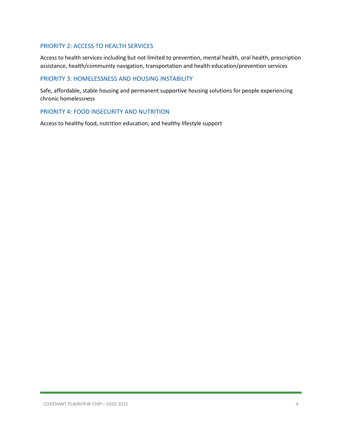### PRIORITY 2: ACCESS TO HEALTH SERVICES

Access to health services including but not limited to prevention, mental health, oral health, prescription assistance, health/community navigation, transportation and health education/prevention services

#### PRIORITY 3: HOMELESSNESS AND HOUSING INSTABILITY

Safe, affordable, stable housing and permanent supportive housing solutions for people experiencing chronic homelessness

### PRIORITY 4: FOOD INSECURITY AND NUTRITION

Access to healthy food, nutrition education, and healthy lifestyle support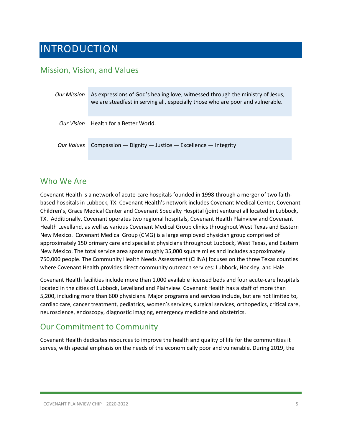# <span id="page-4-0"></span>INTRODUCTION

### <span id="page-4-1"></span>Mission, Vision, and Values

| Our Mission | As expressions of God's healing love, witnessed through the ministry of Jesus,<br>we are steadfast in serving all, especially those who are poor and vulnerable. |
|-------------|------------------------------------------------------------------------------------------------------------------------------------------------------------------|
|             | <i>Our Vision</i> Health for a Better World.                                                                                                                     |
|             | Our Values Compassion - Dignity - Justice - Excellence - Integrity                                                                                               |

### <span id="page-4-2"></span>Who We Are

Covenant Health is a network of acute-care hospitals founded in 1998 through a merger of two faithbased hospitals in Lubbock, TX. Covenant Health's network includes Covenant Medical Center, Covenant Children's, Grace Medical Center and Covenant Specialty Hospital (joint venture) all located in Lubbock, TX. Additionally, Covenant operates two regional hospitals, Covenant Health Plainview and Covenant Health Levelland, as well as various Covenant Medical Group clinics throughout West Texas and Eastern New Mexico. Covenant Medical Group (CMG) is a large employed physician group comprised of approximately 150 primary care and specialist physicians throughout Lubbock, West Texas, and Eastern New Mexico. The total service area spans roughly 35,000 square miles and includes approximately 750,000 people. The Community Health Needs Assessment (CHNA) focuses on the three Texas counties where Covenant Health provides direct community outreach services: Lubbock, Hockley, and Hale.

Covenant Health facilities include more than 1,000 available licensed beds and four acute-care hospitals located in the cities of Lubbock, Levelland and Plainview. Covenant Health has a staff of more than 5,200, including more than 600 physicians. Major programs and services include, but are not limited to, cardiac care, cancer treatment, pediatrics, women's services, surgical services, orthopedics, critical care, neuroscience, endoscopy, diagnostic imaging, emergency medicine and obstetrics.

### <span id="page-4-3"></span>Our Commitment to Community

Covenant Health dedicates resources to improve the health and quality of life for the communities it serves, with special emphasis on the needs of the economically poor and vulnerable. During 2019, the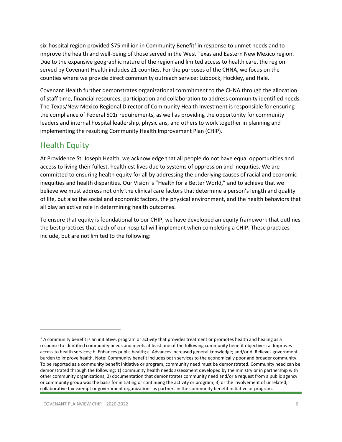six-hospital region provided \$75 million in Community Benefit<sup>[1](#page-5-1)</sup> in response to unmet needs and to improve the health and well-being of those served in the West Texas and Eastern New Mexico region. Due to the expansive geographic nature of the region and limited access to health care, the region served by Covenant Health includes 21 counties. For the purposes of the CHNA, we focus on the counties where we provide direct community outreach service: Lubbock, Hockley, and Hale.

Covenant Health further demonstrates organizational commitment to the CHNA through the allocation of staff time, financial resources, participation and collaboration to address community identified needs. The Texas/New Mexico Regional Director of Community Health Investment is responsible for ensuring the compliance of Federal 501r requirements, as well as providing the opportunity for community leaders and internal hospital leadership, physicians, and others to work together in planning and implementing the resulting Community Health Improvement Plan (CHIP).

### <span id="page-5-0"></span>Health Equity

At Providence St. Joseph Health, we acknowledge that all people do not have equal opportunities and access to living their fullest, healthiest lives due to systems of oppression and inequities. We are committed to ensuring health equity for all by addressing the underlying causes of racial and economic inequities and health disparities. Our Vision is "Health for a Better World," and to achieve that we believe we must address not only the clinical care factors that determine a person's length and quality of life, but also the social and economic factors, the physical environment, and the health behaviors that all play an active role in determining health outcomes.

To ensure that equity is foundational to our CHIP, we have developed an equity framework that outlines the best practices that each of our hospital will implement when completing a CHIP. These practices include, but are not limited to the following:

<span id="page-5-1"></span> $1$  A community benefit is an initiative, program or activity that provides treatment or promotes health and healing as a response to identified community needs and meets at least one of the following community benefit objectives: a. Improves access to health services; b. Enhances public health; c. Advances increased general knowledge; and/or d. Relieves government burden to improve health. Note: Community benefit includes both services to the economically poor and broader community. To be reported as a community benefit initiative or program, community need must be demonstrated. Community need can be demonstrated through the following: 1) community health needs assessment developed by the ministry or in partnership with other community organizations; 2) documentation that demonstrates community need and/or a request from a public agency or community group was the basis for initiating or continuing the activity or program; 3) or the involvement of unrelated, collaborative tax-exempt or government organizations as partners in the community benefit initiative or program.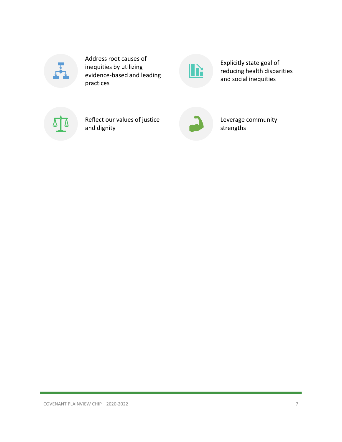

Address root causes of inequities by utilizing evidence-based and leading practices



Explicitly state goal of reducing health disparities and social inequities



Reflect our values of justice and dignity



Leverage community strengths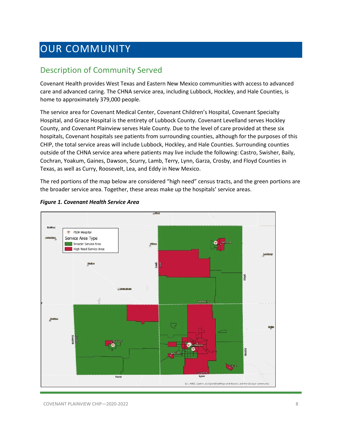# <span id="page-7-0"></span>OUR COMMUNITY

### <span id="page-7-1"></span>Description of Community Served

Covenant Health provides West Texas and Eastern New Mexico communities with access to advanced care and advanced caring. The CHNA service area, including Lubbock, Hockley, and Hale Counties, is home to approximately 379,000 people.

The service area for Covenant Medical Center, Covenant Children's Hospital, Covenant Specialty Hospital, and Grace Hospital is the entirety of Lubbock County. Covenant Levelland serves Hockley County, and Covenant Plainview serves Hale County. Due to the level of care provided at these six hospitals, Covenant hospitals see patients from surrounding counties, although for the purposes of this CHIP, the total service areas will include Lubbock, Hockley, and Hale Counties. Surrounding counties outside of the CHNA service area where patients may live include the following: Castro, Swisher, Baily, Cochran, Yoakum, Gaines, Dawson, Scurry, Lamb, Terry, Lynn, Garza, Crosby, and Floyd Counties in Texas, as well as Curry, Roosevelt, Lea, and Eddy in New Mexico.

The red portions of the map below are considered "high need" census tracts, and the green portions are the broader service area. Together, these areas make up the hospitals' service areas.



#### *Figure 1. Covenant Health Service Area*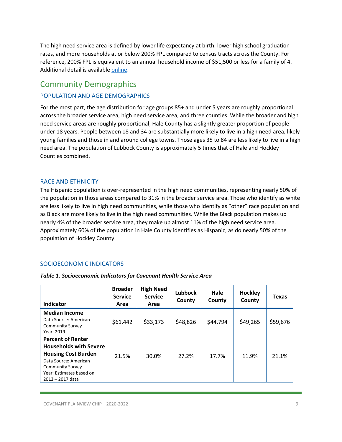The high need service area is defined by lower life expectancy at birth, lower high school graduation rates, and more households at or below 200% FPL compared to census tracts across the County. For reference, 200% FPL is equivalent to an annual household income of \$51,500 or less for a family of 4. Additional detail is availabl[e online.](https://psjh.maps.arcgis.com/apps/opsdashboard/index.html#/3213ef87f2dd420a9d0f78aaab2f5984)

### <span id="page-8-0"></span>Community Demographics

### POPULATION AND AGE DEMOGRAPHICS

For the most part, the age distribution for age groups 85+ and under 5 years are roughly proportional across the broader service area, high need service area, and three counties. While the broader and high need service areas are roughly proportional, Hale County has a slightly greater proportion of people under 18 years. People between 18 and 34 are substantially more likely to live in a high need area, likely young families and those in and around college towns. Those ages 35 to 84 are less likely to live in a high need area. The population of Lubbock County is approximately 5 times that of Hale and Hockley Counties combined.

### RACE AND ETHNICITY

The Hispanic population is over-represented in the high need communities, representing nearly 50% of the population in those areas compared to 31% in the broader service area. Those who identify as white are less likely to live in high need communities, while those who identify as "other" race population and as Black are more likely to live in the high need communities. While the Black population makes up nearly 4% of the broader service area, they make up almost 11% of the high need service area. Approximately 60% of the population in Hale County identifies as Hispanic, as do nearly 50% of the population of Hockley County.

### SOCIOECONOMIC INDICATORS

| Indicator                                                                                                                                                                                   | <b>Broader</b><br><b>Service</b><br>Area | <b>High Need</b><br><b>Service</b><br>Area | <b>Lubbock</b><br>County | Hale<br>County | <b>Hockley</b><br>County | <b>Texas</b> |
|---------------------------------------------------------------------------------------------------------------------------------------------------------------------------------------------|------------------------------------------|--------------------------------------------|--------------------------|----------------|--------------------------|--------------|
| <b>Median Income</b><br>Data Source: American<br><b>Community Survey</b><br>Year: 2019                                                                                                      | \$61,442                                 | \$33,173                                   | \$48,826                 | \$44,794       | \$49,265                 | \$59,676     |
| <b>Percent of Renter</b><br><b>Households with Severe</b><br><b>Housing Cost Burden</b><br>Data Source: American<br><b>Community Survey</b><br>Year: Estimates based on<br>2013 - 2017 data | 21.5%                                    | 30.0%                                      | 27.2%                    | 17.7%          | 11.9%                    | 21.1%        |

### *Table 1. Socioeconomic Indicators for Covenant Health Service Area*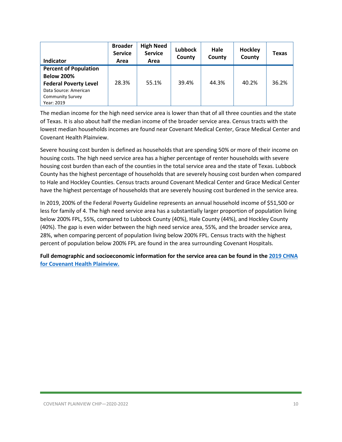| Indicator                    | <b>Broader</b><br><b>Service</b><br>Area | <b>High Need</b><br><b>Service</b><br>Area | <b>Lubbock</b><br>County | Hale<br>County | Hockley<br>County | <b>Texas</b> |
|------------------------------|------------------------------------------|--------------------------------------------|--------------------------|----------------|-------------------|--------------|
| <b>Percent of Population</b> |                                          |                                            |                          |                |                   |              |
| <b>Below 200%</b>            |                                          |                                            |                          |                |                   |              |
| <b>Federal Poverty Level</b> | 28.3%                                    | 55.1%                                      | 39.4%                    | 44.3%          | 40.2%             | 36.2%        |
| Data Source: American        |                                          |                                            |                          |                |                   |              |
| <b>Community Survey</b>      |                                          |                                            |                          |                |                   |              |
| Year: 2019                   |                                          |                                            |                          |                |                   |              |

The median income for the high need service area is lower than that of all three counties and the state of Texas. It is also about half the median income of the broader service area. Census tracts with the lowest median households incomes are found near Covenant Medical Center, Grace Medical Center and Covenant Health Plainview.

Severe housing cost burden is defined as households that are spending 50% or more of their income on housing costs. The high need service area has a higher percentage of renter households with severe housing cost burden than each of the counties in the total service area and the state of Texas. Lubbock County has the highest percentage of households that are severely housing cost burden when compared to Hale and Hockley Counties. Census tracts around Covenant Medical Center and Grace Medical Center have the highest percentage of households that are severely housing cost burdened in the service area.

In 2019, 200% of the Federal Poverty Guideline represents an annual household income of \$51,500 or less for family of 4. The high need service area has a substantially larger proportion of population living below 200% FPL, 55%, compared to Lubbock County (40%), Hale County (44%), and Hockley County (40%). The gap is even wider between the high need service area, 55%, and the broader service area, 28%, when comparing percent of population living below 200% FPL. Census tracts with the highest percent of population below 200% FPL are found in the area surrounding Covenant Hospitals.

**Full demographic and socioeconomic information for the service area can be found in th[e 2019 CHNA](https://www.providence.org/-/media/Project/psjh/providence/socal/Files/about/community-benefit/reports/2019chna-covenantplainview.pdf?la=en&hash=24C8162FDE3F8A92096AEED0988A21ED)  [for Covenant Health Plainview.](https://www.providence.org/-/media/Project/psjh/providence/socal/Files/about/community-benefit/reports/2019chna-covenantplainview.pdf?la=en&hash=24C8162FDE3F8A92096AEED0988A21ED)**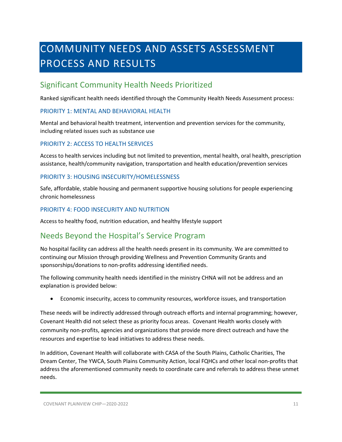# <span id="page-10-0"></span>COMMUNITY NEEDS AND ASSETS ASSESSMENT PROCESS AND RESULTS

### <span id="page-10-1"></span>Significant Community Health Needs Prioritized

Ranked significant health needs identified through the Community Health Needs Assessment process:

### PRIORITY 1: MENTAL AND BEHAVIORAL HEALTH

Mental and behavioral health treatment, intervention and prevention services for the community, including related issues such as substance use

### PRIORITY 2: ACCESS TO HEALTH SERVICES

Access to health services including but not limited to prevention, mental health, oral health, prescription assistance, health/community navigation, transportation and health education/prevention services

### PRIORITY 3: HOUSING INSECURITY/HOMELESSNESS

Safe, affordable, stable housing and permanent supportive housing solutions for people experiencing chronic homelessness

### PRIORITY 4: FOOD INSECURITY AND NUTRITION

Access to healthy food, nutrition education, and healthy lifestyle support

### <span id="page-10-2"></span>Needs Beyond the Hospital's Service Program

No hospital facility can address all the health needs present in its community. We are committed to continuing our Mission through providing Wellness and Prevention Community Grants and sponsorships/donations to non-profits addressing identified needs.

The following community health needs identified in the ministry CHNA will not be address and an explanation is provided below:

• Economic insecurity, access to community resources, workforce issues, and transportation

These needs will be indirectly addressed through outreach efforts and internal programming; however, Covenant Health did not select these as priority focus areas. Covenant Health works closely with community non-profits, agencies and organizations that provide more direct outreach and have the resources and expertise to lead initiatives to address these needs.

In addition, Covenant Health will collaborate with CASA of the South Plains, Catholic Charities, The Dream Center, The YWCA, South Plains Community Action, local FQHCs and other local non-profits that address the aforementioned community needs to coordinate care and referrals to address these unmet needs.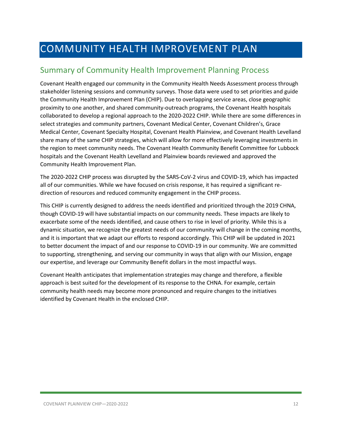# <span id="page-11-0"></span>COMMUNITY HEALTH IMPROVEMENT PLAN

### <span id="page-11-1"></span>Summary of Community Health Improvement Planning Process

Covenant Health engaged our community in the Community Health Needs Assessment process through stakeholder listening sessions and community surveys. Those data were used to set priorities and guide the Community Health Improvement Plan (CHIP). Due to overlapping service areas, close geographic proximity to one another, and shared community-outreach programs, the Covenant Health hospitals collaborated to develop a regional approach to the 2020-2022 CHIP. While there are some differences in select strategies and community partners, Covenant Medical Center, Covenant Children's, Grace Medical Center, Covenant Specialty Hospital, Covenant Health Plainview, and Covenant Health Levelland share many of the same CHIP strategies, which will allow for more effectively leveraging investments in the region to meet community needs. The Covenant Health Community Benefit Committee for Lubbock hospitals and the Covenant Health Levelland and Plainview boards reviewed and approved the Community Health Improvement Plan.

The 2020-2022 CHIP process was disrupted by the SARS-CoV-2 virus and COVID-19, which has impacted all of our communities. While we have focused on crisis response, it has required a significant redirection of resources and reduced community engagement in the CHIP process.

This CHIP is currently designed to address the needs identified and prioritized through the 2019 CHNA, though COVID-19 will have substantial impacts on our community needs. These impacts are likely to exacerbate some of the needs identified, and cause others to rise in level of priority. While this is a dynamic situation, we recognize the greatest needs of our community will change in the coming months, and it is important that we adapt our efforts to respond accordingly. This CHIP will be updated in 2021 to better document the impact of and our response to COVID-19 in our community. We are committed to supporting, strengthening, and serving our community in ways that align with our Mission, engage our expertise, and leverage our Community Benefit dollars in the most impactful ways.

Covenant Health anticipates that implementation strategies may change and therefore, a flexible approach is best suited for the development of its response to the CHNA. For example, certain community health needs may become more pronounced and require changes to the initiatives identified by Covenant Health in the enclosed CHIP.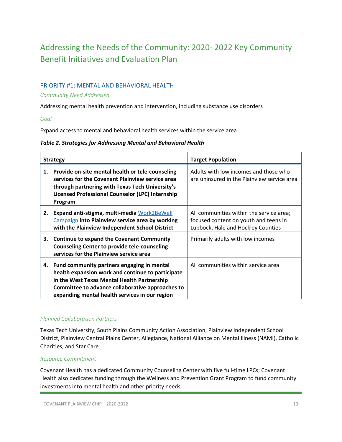### <span id="page-12-0"></span>Addressing the Needs of the Community: 2020- 2022 Key Community Benefit Initiatives and Evaluation Plan

### PRIORITY #1: MENTAL AND BEHAVIORAL HEALTH

#### *Community Need Addressed*

Addressing mental health prevention and intervention, including substance use disorders

*Goal*

Expand access to mental and behavioral health services within the service area

#### *Table 2. Strategies for Addressing Mental and Behavioral Health*

|    | <b>Strategy</b>                                                                                                                                                                                                                                                                                    | <b>Target Population</b>                                                                                                                                     |
|----|----------------------------------------------------------------------------------------------------------------------------------------------------------------------------------------------------------------------------------------------------------------------------------------------------|--------------------------------------------------------------------------------------------------------------------------------------------------------------|
| 1. | Provide on-site mental health or tele-counseling<br>services for the Covenant Plainview service area<br>through partnering with Texas Tech University's<br>Licensed Professional Counselor (LPC) Internship<br>Program                                                                             | Adults with low incomes and those who<br>are uninsured in the Plainview service area                                                                         |
| 2. | Expand anti-stigma, multi-media Work2BeWell<br>Campaign into Plainview service area by working<br>with the Plainview Independent School District<br>3. Continue to expand the Covenant Community<br><b>Counseling Center to provide tele-counseling</b><br>services for the Plainview service area | All communities within the service area;<br>focused content on youth and teens in<br>Lubbock, Hale and Hockley Counties<br>Primarily adults with low incomes |
|    | 4. Fund community partners engaging in mental<br>health expansion work and continue to participate<br>in the West Texas Mental Health Partnership<br>Committee to advance collaborative approaches to<br>expanding mental health services in our region                                            | All communities within service area                                                                                                                          |

### *Planned Collaboration Partners*

Texas Tech University, South Plains Community Action Association, Plainview Independent School District, Plainview Central Plains Center, Allegiance, National Alliance on Mental Illness (NAMI), Catholic Charities, and Star Care

### *Resource Commitment*

Covenant Health has a dedicated Community Counseling Center with five full-time LPCs; Covenant Health also dedicates funding through the Wellness and Prevention Grant Program to fund community investments into mental health and other priority needs.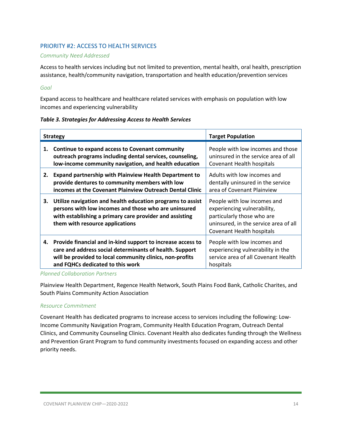### PRIORITY #2: ACCESS TO HEALTH SERVICES

### *Community Need Addressed*

Access to health services including but not limited to prevention, mental health, oral health, prescription assistance, health/community navigation, transportation and health education/prevention services

### *Goal*

Expand access to healthcare and healthcare related services with emphasis on population with low incomes and experiencing vulnerability

### *Table 3. Strategies for Addressing Access to Health Services*

|    | <b>Strategy</b>                                                                                                                                                                                                           | <b>Target Population</b>                                                                                                                                       |
|----|---------------------------------------------------------------------------------------------------------------------------------------------------------------------------------------------------------------------------|----------------------------------------------------------------------------------------------------------------------------------------------------------------|
| 1. | Continue to expand access to Covenant community<br>outreach programs including dental services, counseling,<br>low-income community navigation, and health education                                                      | People with low incomes and those<br>uninsured in the service area of all<br>Covenant Health hospitals                                                         |
| 2. | <b>Expand partnership with Plainview Health Department to</b><br>provide dentures to community members with low<br>incomes at the Covenant Plainview Outreach Dental Clinic                                               | Adults with low incomes and<br>dentally uninsured in the service<br>area of Covenant Plainview                                                                 |
| 3. | Utilize navigation and health education programs to assist<br>persons with low incomes and those who are uninsured<br>with establishing a primary care provider and assisting<br>them with resource applications          | People with low incomes and<br>experiencing vulnerability,<br>particularly those who are<br>uninsured, in the service area of all<br>Covenant Health hospitals |
|    | 4. Provide financial and in-kind support to increase access to<br>care and address social determinants of health. Support<br>will be provided to local community clinics, non-profits<br>and FQHCs dedicated to this work | People with low incomes and<br>experiencing vulnerability in the<br>service area of all Covenant Health<br>hospitals                                           |

### *Planned Collaboration Partners*

Plainview Health Department, Regence Health Network, South Plains Food Bank, Catholic Charites, and South Plains Community Action Association

### *Resource Commitment*

Covenant Health has dedicated programs to increase access to services including the following: Low-Income Community Navigation Program, Community Health Education Program, Outreach Dental Clinics, and Community Counseling Clinics. Covenant Health also dedicates funding through the Wellness and Prevention Grant Program to fund community investments focused on expanding access and other priority needs.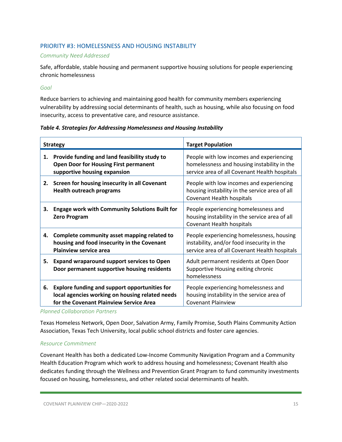### PRIORITY #3: HOMELESSNESS AND HOUSING INSTABILITY

#### *Community Need Addressed*

Safe, affordable, stable housing and permanent supportive housing solutions for people experiencing chronic homelessness

### *Goal*

Reduce barriers to achieving and maintaining good health for community members experiencing vulnerability by addressing social determinants of health, such as housing, while also focusing on food insecurity, access to preventative care, and resource assistance.

#### *Table 4. Strategies for Addressing Homelessness and Housing Instability*

| <b>Strategy</b> |                                                                                                                                                    | <b>Target Population</b>                                                                                                                 |  |
|-----------------|----------------------------------------------------------------------------------------------------------------------------------------------------|------------------------------------------------------------------------------------------------------------------------------------------|--|
| 1.              | Provide funding and land feasibility study to<br><b>Open Door for Housing First permanent</b><br>supportive housing expansion                      | People with low incomes and experiencing<br>homelessness and housing instability in the<br>service area of all Covenant Health hospitals |  |
|                 | 2. Screen for housing insecurity in all Covenant<br><b>Health outreach programs</b>                                                                | People with low incomes and experiencing<br>housing instability in the service area of all<br>Covenant Health hospitals                  |  |
| 3.              | <b>Engage work with Community Solutions Built for</b><br><b>Zero Program</b>                                                                       | People experiencing homelessness and<br>housing instability in the service area of all<br>Covenant Health hospitals                      |  |
| 4.              | Complete community asset mapping related to<br>housing and food insecurity in the Covenant<br><b>Plainview service area</b>                        | People experiencing homelessness, housing<br>instability, and/or food insecurity in the<br>service area of all Covenant Health hospitals |  |
| 5.              | <b>Expand wraparound support services to Open</b><br>Door permanent supportive housing residents                                                   | Adult permanent residents at Open Door<br>Supportive Housing exiting chronic<br>homelessness                                             |  |
| 6.              | <b>Explore funding and support opportunities for</b><br>local agencies working on housing related needs<br>for the Covenant Plainview Service Area | People experiencing homelessness and<br>housing instability in the service area of<br><b>Covenant Plainview</b>                          |  |

*Planned Collaboration Partners*

Texas Homeless Network, Open Door, Salvation Army, Family Promise, South Plains Community Action Association, Texas Tech University, local public school districts and foster care agencies.

#### *Resource Commitment*

Covenant Health has both a dedicated Low-Income Community Navigation Program and a Community Health Education Program which work to address housing and homelessness; Covenant Health also dedicates funding through the Wellness and Prevention Grant Program to fund community investments focused on housing, homelessness, and other related social determinants of health.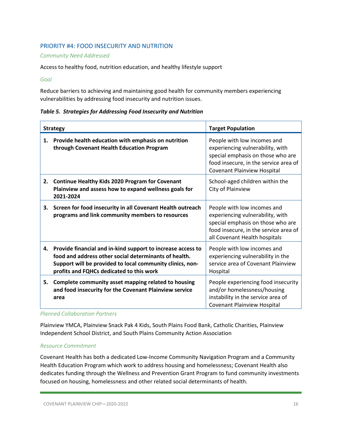### PRIORITY #4: FOOD INSECURITY AND NUTRITION

#### *Community Need Addressed*

### Access to healthy food, nutrition education, and healthy lifestyle support

#### *Goal*

Reduce barriers to achieving and maintaining good health for community members experiencing vulnerabilities by addressing food insecurity and nutrition issues.

### *Table 5. Strategies for Addressing Food Insecurity and Nutrition*

| <b>Strategy</b> |                                                                                                                                                                                                                               | <b>Target Population</b>                                                                                                                                                       |  |
|-----------------|-------------------------------------------------------------------------------------------------------------------------------------------------------------------------------------------------------------------------------|--------------------------------------------------------------------------------------------------------------------------------------------------------------------------------|--|
| 1.              | Provide health education with emphasis on nutrition<br>through Covenant Health Education Program                                                                                                                              | People with low incomes and<br>experiencing vulnerability, with<br>special emphasis on those who are<br>food insecure, in the service area of<br>Covenant Plainview Hospital   |  |
|                 | 2. Continue Healthy Kids 2020 Program for Covenant<br>Plainview and assess how to expand wellness goals for<br>2021-2024                                                                                                      | School-aged children within the<br>City of Plainview                                                                                                                           |  |
| 3.              | Screen for food insecurity in all Covenant Health outreach<br>programs and link community members to resources                                                                                                                | People with low incomes and<br>experiencing vulnerability, with<br>special emphasis on those who are<br>food insecure, in the service area of<br>all Covenant Health hospitals |  |
| 4.              | Provide financial and in-kind support to increase access to<br>food and address other social determinants of health.<br>Support will be provided to local community clinics, non-<br>profits and FQHCs dedicated to this work | People with low incomes and<br>experiencing vulnerability in the<br>service area of Covenant Plainview<br>Hospital                                                             |  |
| 5.              | Complete community asset mapping related to housing<br>and food insecurity for the Covenant Plainview service<br>area                                                                                                         | People experiencing food insecurity<br>and/or homelessness/housing<br>instability in the service area of<br><b>Covenant Plainview Hospital</b>                                 |  |

#### *Planned Collaboration Partners*

Plainview YMCA, Plainview Snack Pak 4 Kids, South Plains Food Bank, Catholic Charities, Plainview Independent School District, and South Plains Community Action Association

### *Resource Commitment*

Covenant Health has both a dedicated Low-Income Community Navigation Program and a Community Health Education Program which work to address housing and homelessness; Covenant Health also dedicates funding through the Wellness and Prevention Grant Program to fund community investments focused on housing, homelessness and other related social determinants of health.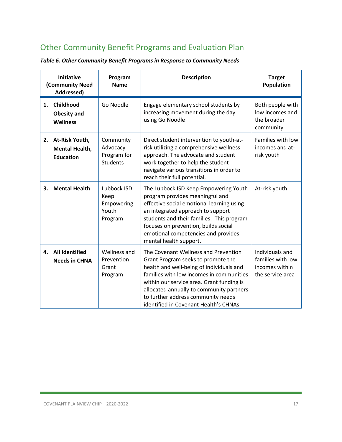### <span id="page-16-0"></span>Other Community Benefit Programs and Evaluation Plan

| <b>Initiative</b><br>(Community Need<br>Addressed) |                                                             | Program<br><b>Name</b>                                  | <b>Description</b>                                                                                                                                                                                                                                                                                                                          | <b>Target</b><br><b>Population</b>                                         |
|----------------------------------------------------|-------------------------------------------------------------|---------------------------------------------------------|---------------------------------------------------------------------------------------------------------------------------------------------------------------------------------------------------------------------------------------------------------------------------------------------------------------------------------------------|----------------------------------------------------------------------------|
| 1.                                                 | Childhood<br><b>Obesity and</b><br><b>Wellness</b>          | Go Noodle                                               | Engage elementary school students by<br>increasing movement during the day<br>using Go Noodle                                                                                                                                                                                                                                               | Both people with<br>low incomes and<br>the broader<br>community            |
| 2.                                                 | At-Risk Youth,<br><b>Mental Health,</b><br><b>Education</b> | Community<br>Advocacy<br>Program for<br><b>Students</b> | Direct student intervention to youth-at-<br>risk utilizing a comprehensive wellness<br>approach. The advocate and student<br>work together to help the student<br>navigate various transitions in order to<br>reach their full potential.                                                                                                   | Families with low<br>incomes and at-<br>risk youth                         |
| 3.                                                 | <b>Mental Health</b>                                        | Lubbock ISD<br>Keep<br>Empowering<br>Youth<br>Program   | The Lubbock ISD Keep Empowering Youth<br>program provides meaningful and<br>effective social emotional learning using<br>an integrated approach to support<br>students and their families. This program<br>focuses on prevention, builds social<br>emotional competencies and provides<br>mental health support.                            | At-risk youth                                                              |
| 4.                                                 | <b>All Identified</b><br><b>Needs in CHNA</b>               | Wellness and<br>Prevention<br>Grant<br>Program          | The Covenant Wellness and Prevention<br>Grant Program seeks to promote the<br>health and well-being of individuals and<br>families with low incomes in communities<br>within our service area. Grant funding is<br>allocated annually to community partners<br>to further address community needs<br>identified in Covenant Health's CHNAs. | Individuals and<br>families with low<br>incomes within<br>the service area |

### *Table 6. Other Community Benefit Programs in Response to Community Needs*